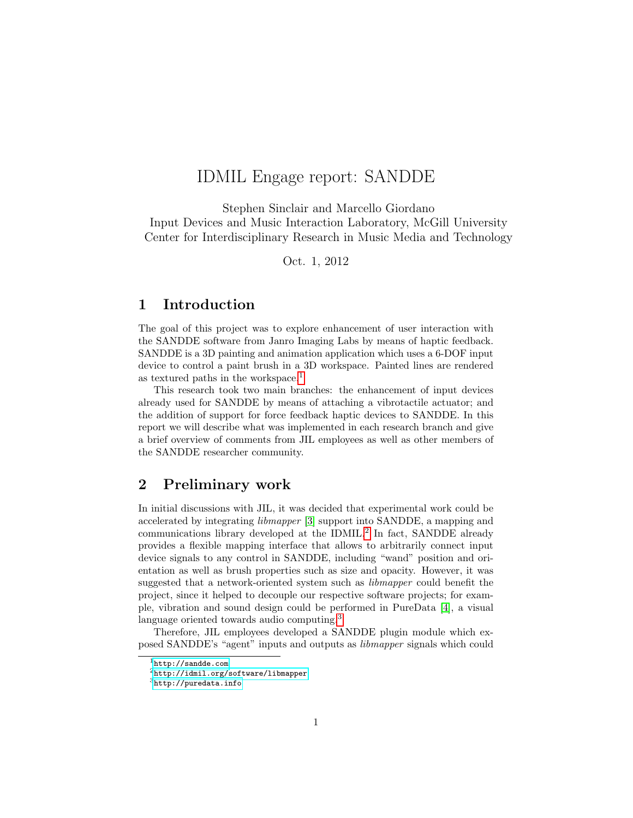# IDMIL Engage report: SANDDE

Stephen Sinclair and Marcello Giordano Input Devices and Music Interaction Laboratory, McGill University Center for Interdisciplinary Research in Music Media and Technology

Oct. 1, 2012

# 1 Introduction

The goal of this project was to explore enhancement of user interaction with the SANDDE software from Janro Imaging Labs by means of haptic feedback. SANDDE is a 3D painting and animation application which uses a 6-DOF input device to control a paint brush in a 3D workspace. Painted lines are rendered as textured paths in the workspace.<sup>[1](#page-0-0)</sup>

This research took two main branches: the enhancement of input devices already used for SANDDE by means of attaching a vibrotactile actuator; and the addition of support for force feedback haptic devices to SANDDE. In this report we will describe what was implemented in each research branch and give a brief overview of comments from JIL employees as well as other members of the SANDDE researcher community.

# 2 Preliminary work

In initial discussions with JIL, it was decided that experimental work could be accelerated by integrating libmapper [\[3\]](#page-8-0) support into SANDDE, a mapping and communications library developed at the IDMIL.<sup>[2](#page-0-1)</sup> In fact, SANDDE already provides a flexible mapping interface that allows to arbitrarily connect input device signals to any control in SANDDE, including "wand" position and orientation as well as brush properties such as size and opacity. However, it was suggested that a network-oriented system such as libmapper could benefit the project, since it helped to decouple our respective software projects; for example, vibration and sound design could be performed in PureData [\[4\]](#page-8-1), a visual language oriented towards audio computing.<sup>[3](#page-0-2)</sup>

Therefore, JIL employees developed a SANDDE plugin module which exposed SANDDE's "agent" inputs and outputs as libmapper signals which could

<span id="page-0-0"></span> $1$ <http://sandde.com>

<span id="page-0-1"></span><sup>2</sup><http://idmil.org/software/libmapper>

<span id="page-0-2"></span><sup>3</sup><http://puredata.info>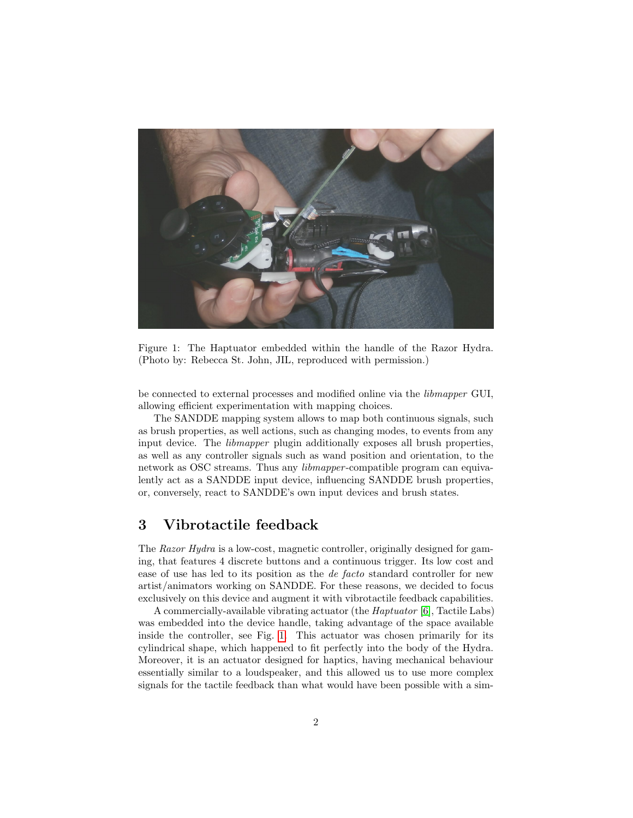

Figure 1: The Haptuator embedded within the handle of the Razor Hydra. (Photo by: Rebecca St. John, JIL, reproduced with permission.)

<span id="page-1-0"></span>be connected to external processes and modified online via the libmapper GUI, allowing efficient experimentation with mapping choices.

The SANDDE mapping system allows to map both continuous signals, such as brush properties, as well actions, such as changing modes, to events from any input device. The libmapper plugin additionally exposes all brush properties, as well as any controller signals such as wand position and orientation, to the network as OSC streams. Thus any libmapper -compatible program can equivalently act as a SANDDE input device, influencing SANDDE brush properties, or, conversely, react to SANDDE's own input devices and brush states.

#### 3 Vibrotactile feedback

The Razor Hydra is a low-cost, magnetic controller, originally designed for gaming, that features 4 discrete buttons and a continuous trigger. Its low cost and ease of use has led to its position as the de facto standard controller for new artist/animators working on SANDDE. For these reasons, we decided to focus exclusively on this device and augment it with vibrotactile feedback capabilities.

A commercially-available vibrating actuator (the Haptuator [\[6\]](#page-8-2), Tactile Labs) was embedded into the device handle, taking advantage of the space available inside the controller, see Fig. [1.](#page-1-0) This actuator was chosen primarily for its cylindrical shape, which happened to fit perfectly into the body of the Hydra. Moreover, it is an actuator designed for haptics, having mechanical behaviour essentially similar to a loudspeaker, and this allowed us to use more complex signals for the tactile feedback than what would have been possible with a sim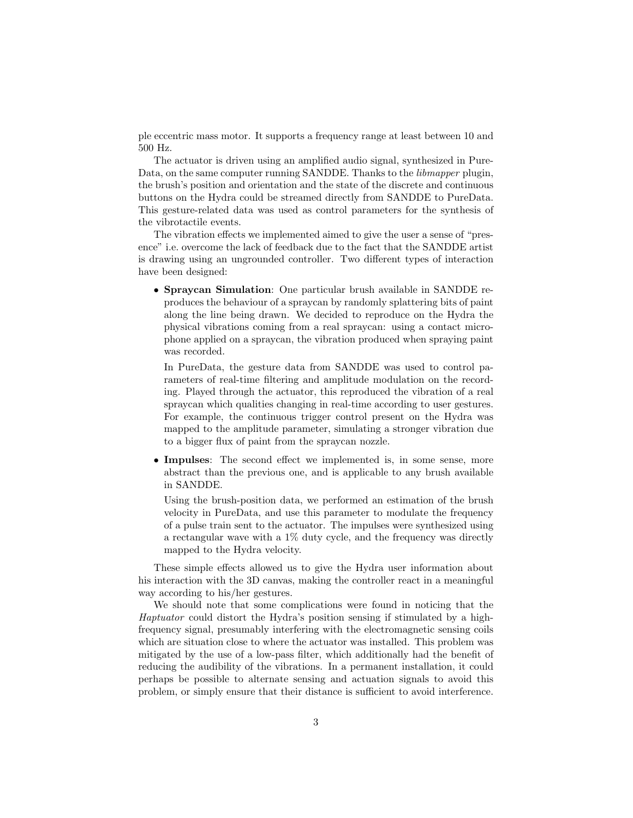ple eccentric mass motor. It supports a frequency range at least between 10 and 500 Hz.

The actuator is driven using an amplified audio signal, synthesized in Pure-Data, on the same computer running SANDDE. Thanks to the *libmapper* plugin, the brush's position and orientation and the state of the discrete and continuous buttons on the Hydra could be streamed directly from SANDDE to PureData. This gesture-related data was used as control parameters for the synthesis of the vibrotactile events.

The vibration effects we implemented aimed to give the user a sense of "presence" i.e. overcome the lack of feedback due to the fact that the SANDDE artist is drawing using an ungrounded controller. Two different types of interaction have been designed:

• Spraycan Simulation: One particular brush available in SANDDE reproduces the behaviour of a spraycan by randomly splattering bits of paint along the line being drawn. We decided to reproduce on the Hydra the physical vibrations coming from a real spraycan: using a contact microphone applied on a spraycan, the vibration produced when spraying paint was recorded.

In PureData, the gesture data from SANDDE was used to control parameters of real-time filtering and amplitude modulation on the recording. Played through the actuator, this reproduced the vibration of a real spraycan which qualities changing in real-time according to user gestures. For example, the continuous trigger control present on the Hydra was mapped to the amplitude parameter, simulating a stronger vibration due to a bigger flux of paint from the spraycan nozzle.

• Impulses: The second effect we implemented is, in some sense, more abstract than the previous one, and is applicable to any brush available in SANDDE.

Using the brush-position data, we performed an estimation of the brush velocity in PureData, and use this parameter to modulate the frequency of a pulse train sent to the actuator. The impulses were synthesized using a rectangular wave with a 1% duty cycle, and the frequency was directly mapped to the Hydra velocity.

These simple effects allowed us to give the Hydra user information about his interaction with the 3D canvas, making the controller react in a meaningful way according to his/her gestures.

We should note that some complications were found in noticing that the Haptuator could distort the Hydra's position sensing if stimulated by a highfrequency signal, presumably interfering with the electromagnetic sensing coils which are situation close to where the actuator was installed. This problem was mitigated by the use of a low-pass filter, which additionally had the benefit of reducing the audibility of the vibrations. In a permanent installation, it could perhaps be possible to alternate sensing and actuation signals to avoid this problem, or simply ensure that their distance is sufficient to avoid interference.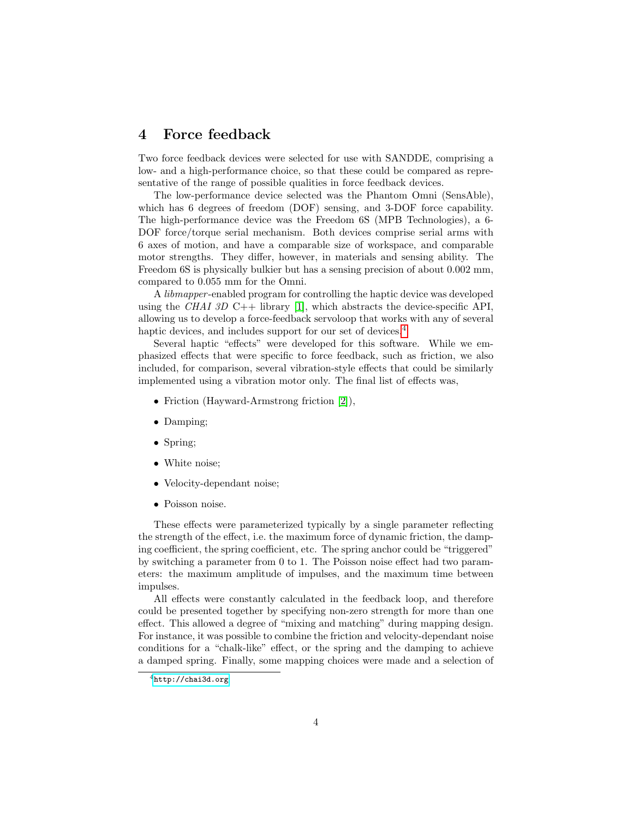#### 4 Force feedback

Two force feedback devices were selected for use with SANDDE, comprising a low- and a high-performance choice, so that these could be compared as representative of the range of possible qualities in force feedback devices.

The low-performance device selected was the Phantom Omni (SensAble), which has 6 degrees of freedom (DOF) sensing, and 3-DOF force capability. The high-performance device was the Freedom 6S (MPB Technologies), a 6- DOF force/torque serial mechanism. Both devices comprise serial arms with 6 axes of motion, and have a comparable size of workspace, and comparable motor strengths. They differ, however, in materials and sensing ability. The Freedom 6S is physically bulkier but has a sensing precision of about 0.002 mm, compared to 0.055 mm for the Omni.

A libmapper -enabled program for controlling the haptic device was developed using the CHAI 3D C++ library [\[1\]](#page-8-3), which abstracts the device-specific API, allowing us to develop a force-feedback servoloop that works with any of several haptic devices, and includes support for our set of devices.<sup>[4](#page-3-0)</sup>

Several haptic "effects" were developed for this software. While we emphasized effects that were specific to force feedback, such as friction, we also included, for comparison, several vibration-style effects that could be similarly implemented using a vibration motor only. The final list of effects was,

- Friction (Hayward-Armstrong friction [\[2\]](#page-8-4)),
- Damping:
- Spring;
- White noise;
- Velocity-dependant noise;
- Poisson noise.

These effects were parameterized typically by a single parameter reflecting the strength of the effect, i.e. the maximum force of dynamic friction, the damping coefficient, the spring coefficient, etc. The spring anchor could be "triggered" by switching a parameter from 0 to 1. The Poisson noise effect had two parameters: the maximum amplitude of impulses, and the maximum time between impulses.

All effects were constantly calculated in the feedback loop, and therefore could be presented together by specifying non-zero strength for more than one effect. This allowed a degree of "mixing and matching" during mapping design. For instance, it was possible to combine the friction and velocity-dependant noise conditions for a "chalk-like" effect, or the spring and the damping to achieve a damped spring. Finally, some mapping choices were made and a selection of

<span id="page-3-0"></span><sup>4</sup><http://chai3d.org>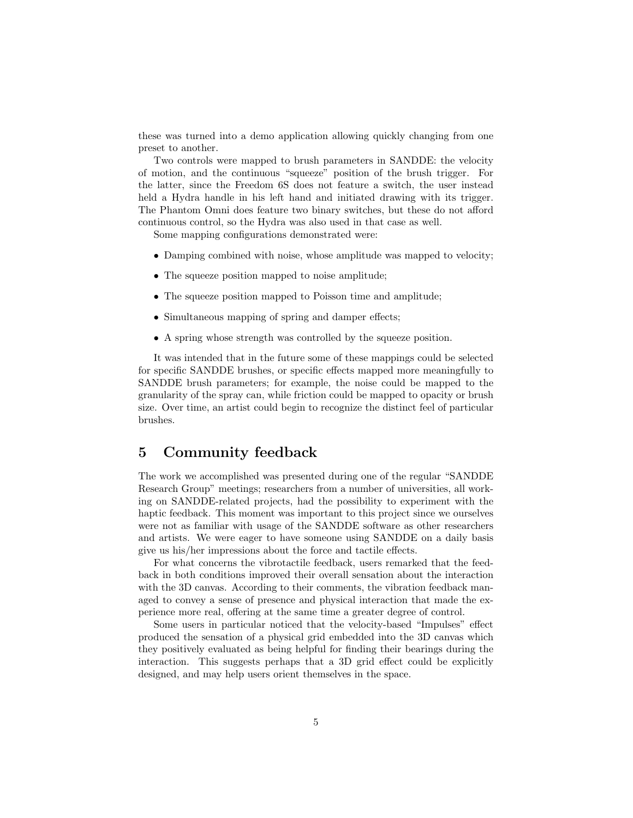these was turned into a demo application allowing quickly changing from one preset to another.

Two controls were mapped to brush parameters in SANDDE: the velocity of motion, and the continuous "squeeze" position of the brush trigger. For the latter, since the Freedom 6S does not feature a switch, the user instead held a Hydra handle in his left hand and initiated drawing with its trigger. The Phantom Omni does feature two binary switches, but these do not afford continuous control, so the Hydra was also used in that case as well.

Some mapping configurations demonstrated were:

- Damping combined with noise, whose amplitude was mapped to velocity;
- The squeeze position mapped to noise amplitude;
- The squeeze position mapped to Poisson time and amplitude;
- Simultaneous mapping of spring and damper effects;
- A spring whose strength was controlled by the squeeze position.

It was intended that in the future some of these mappings could be selected for specific SANDDE brushes, or specific effects mapped more meaningfully to SANDDE brush parameters; for example, the noise could be mapped to the granularity of the spray can, while friction could be mapped to opacity or brush size. Over time, an artist could begin to recognize the distinct feel of particular brushes.

#### 5 Community feedback

The work we accomplished was presented during one of the regular "SANDDE Research Group" meetings; researchers from a number of universities, all working on SANDDE-related projects, had the possibility to experiment with the haptic feedback. This moment was important to this project since we ourselves were not as familiar with usage of the SANDDE software as other researchers and artists. We were eager to have someone using SANDDE on a daily basis give us his/her impressions about the force and tactile effects.

For what concerns the vibrotactile feedback, users remarked that the feedback in both conditions improved their overall sensation about the interaction with the 3D canvas. According to their comments, the vibration feedback managed to convey a sense of presence and physical interaction that made the experience more real, offering at the same time a greater degree of control.

Some users in particular noticed that the velocity-based "Impulses" effect produced the sensation of a physical grid embedded into the 3D canvas which they positively evaluated as being helpful for finding their bearings during the interaction. This suggests perhaps that a 3D grid effect could be explicitly designed, and may help users orient themselves in the space.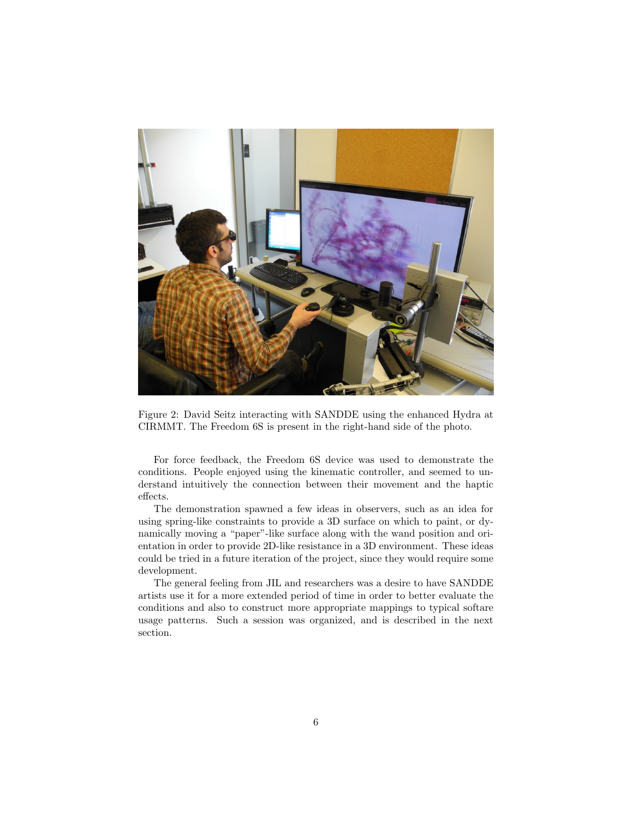

Figure 2: David Seitz interacting with SANDDE using the enhanced Hydra at CIRMMT. The Freedom 6S is present in the right-hand side of the photo.

<span id="page-5-0"></span>For force feedback, the Freedom 6S device was used to demonstrate the conditions. People enjoyed using the kinematic controller, and seemed to understand intuitively the connection between their movement and the haptic effects.

The demonstration spawned a few ideas in observers, such as an idea for using spring-like constraints to provide a 3D surface on which to paint, or dynamically moving a "paper"-like surface along with the wand position and orientation in order to provide 2D-like resistance in a 3D environment. These ideas could be tried in a future iteration of the project, since they would require some development.

The general feeling from JIL and researchers was a desire to have SANDDE artists use it for a more extended period of time in order to better evaluate the conditions and also to construct more appropriate mappings to typical softare usage patterns. Such a session was organized, and is described in the next section.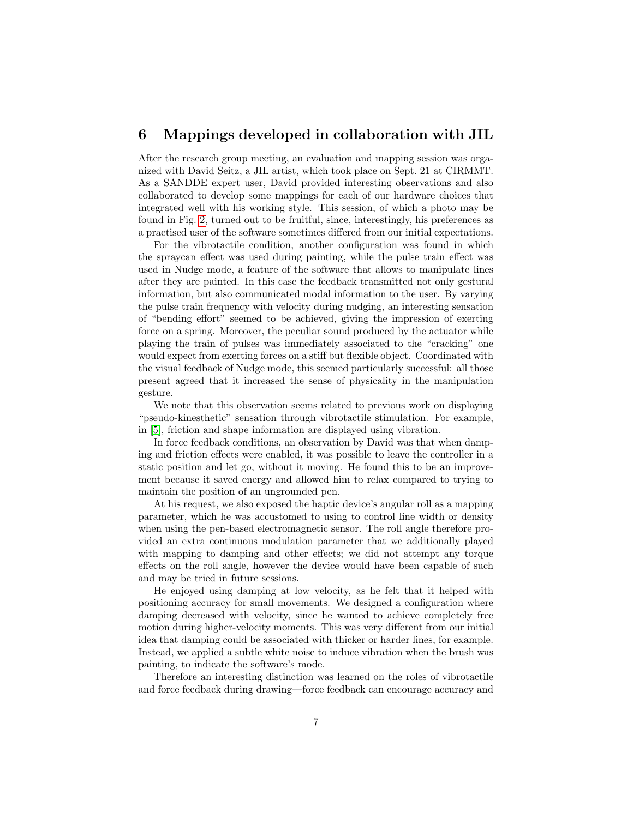### 6 Mappings developed in collaboration with JIL

After the research group meeting, an evaluation and mapping session was organized with David Seitz, a JIL artist, which took place on Sept. 21 at CIRMMT. As a SANDDE expert user, David provided interesting observations and also collaborated to develop some mappings for each of our hardware choices that integrated well with his working style. This session, of which a photo may be found in Fig. [2,](#page-5-0) turned out to be fruitful, since, interestingly, his preferences as a practised user of the software sometimes differed from our initial expectations.

For the vibrotactile condition, another configuration was found in which the spraycan effect was used during painting, while the pulse train effect was used in Nudge mode, a feature of the software that allows to manipulate lines after they are painted. In this case the feedback transmitted not only gestural information, but also communicated modal information to the user. By varying the pulse train frequency with velocity during nudging, an interesting sensation of "bending effort" seemed to be achieved, giving the impression of exerting force on a spring. Moreover, the peculiar sound produced by the actuator while playing the train of pulses was immediately associated to the "cracking" one would expect from exerting forces on a stiff but flexible object. Coordinated with the visual feedback of Nudge mode, this seemed particularly successful: all those present agreed that it increased the sense of physicality in the manipulation gesture.

We note that this observation seems related to previous work on displaying "pseudo-kinesthetic" sensation through vibrotactile stimulation. For example, in [\[5\]](#page-8-5), friction and shape information are displayed using vibration.

In force feedback conditions, an observation by David was that when damping and friction effects were enabled, it was possible to leave the controller in a static position and let go, without it moving. He found this to be an improvement because it saved energy and allowed him to relax compared to trying to maintain the position of an ungrounded pen.

At his request, we also exposed the haptic device's angular roll as a mapping parameter, which he was accustomed to using to control line width or density when using the pen-based electromagnetic sensor. The roll angle therefore provided an extra continuous modulation parameter that we additionally played with mapping to damping and other effects; we did not attempt any torque effects on the roll angle, however the device would have been capable of such and may be tried in future sessions.

He enjoyed using damping at low velocity, as he felt that it helped with positioning accuracy for small movements. We designed a configuration where damping decreased with velocity, since he wanted to achieve completely free motion during higher-velocity moments. This was very different from our initial idea that damping could be associated with thicker or harder lines, for example. Instead, we applied a subtle white noise to induce vibration when the brush was painting, to indicate the software's mode.

Therefore an interesting distinction was learned on the roles of vibrotactile and force feedback during drawing—force feedback can encourage accuracy and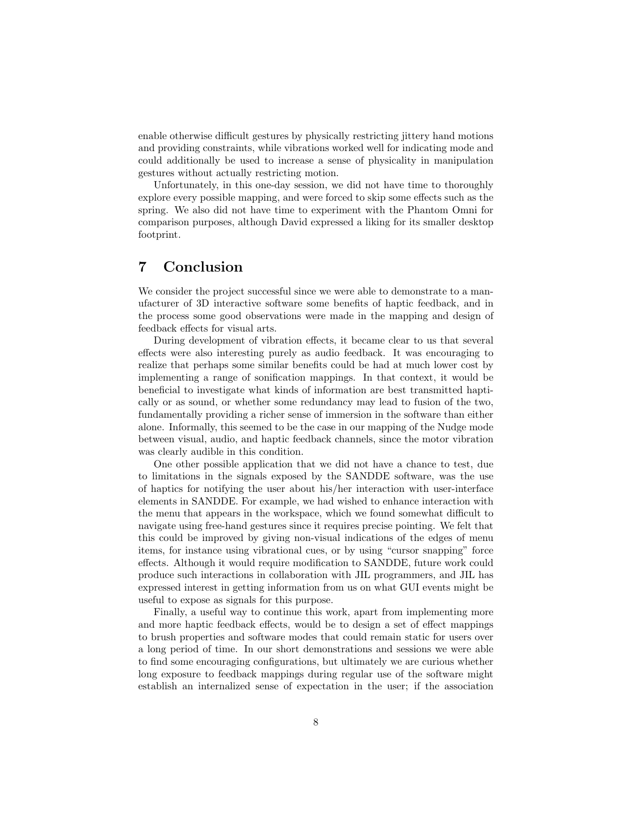enable otherwise difficult gestures by physically restricting jittery hand motions and providing constraints, while vibrations worked well for indicating mode and could additionally be used to increase a sense of physicality in manipulation gestures without actually restricting motion.

Unfortunately, in this one-day session, we did not have time to thoroughly explore every possible mapping, and were forced to skip some effects such as the spring. We also did not have time to experiment with the Phantom Omni for comparison purposes, although David expressed a liking for its smaller desktop footprint.

# 7 Conclusion

We consider the project successful since we were able to demonstrate to a manufacturer of 3D interactive software some benefits of haptic feedback, and in the process some good observations were made in the mapping and design of feedback effects for visual arts.

During development of vibration effects, it became clear to us that several effects were also interesting purely as audio feedback. It was encouraging to realize that perhaps some similar benefits could be had at much lower cost by implementing a range of sonification mappings. In that context, it would be beneficial to investigate what kinds of information are best transmitted haptically or as sound, or whether some redundancy may lead to fusion of the two, fundamentally providing a richer sense of immersion in the software than either alone. Informally, this seemed to be the case in our mapping of the Nudge mode between visual, audio, and haptic feedback channels, since the motor vibration was clearly audible in this condition.

One other possible application that we did not have a chance to test, due to limitations in the signals exposed by the SANDDE software, was the use of haptics for notifying the user about his/her interaction with user-interface elements in SANDDE. For example, we had wished to enhance interaction with the menu that appears in the workspace, which we found somewhat difficult to navigate using free-hand gestures since it requires precise pointing. We felt that this could be improved by giving non-visual indications of the edges of menu items, for instance using vibrational cues, or by using "cursor snapping" force effects. Although it would require modification to SANDDE, future work could produce such interactions in collaboration with JIL programmers, and JIL has expressed interest in getting information from us on what GUI events might be useful to expose as signals for this purpose.

Finally, a useful way to continue this work, apart from implementing more and more haptic feedback effects, would be to design a set of effect mappings to brush properties and software modes that could remain static for users over a long period of time. In our short demonstrations and sessions we were able to find some encouraging configurations, but ultimately we are curious whether long exposure to feedback mappings during regular use of the software might establish an internalized sense of expectation in the user; if the association